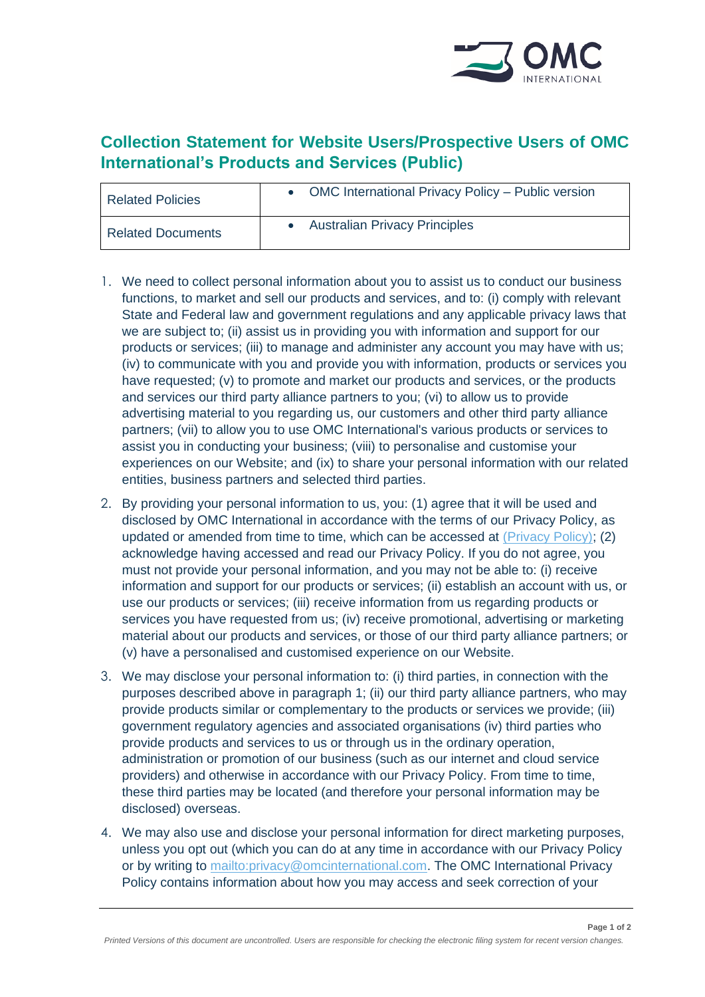

# **Collection Statement for Website Users/Prospective Users of OMC International's Products and Services (Public)**

| <b>Related Policies</b>  | OMC International Privacy Policy - Public version |
|--------------------------|---------------------------------------------------|
| <b>Related Documents</b> | <b>Australian Privacy Principles</b>              |

- 1. We need to collect personal information about you to assist us to conduct our business functions, to market and sell our products and services, and to: (i) comply with relevant State and Federal law and government regulations and any applicable privacy laws that we are subject to; (ii) assist us in providing you with information and support for our products or services; (iii) to manage and administer any account you may have with us; (iv) to communicate with you and provide you with information, products or services you have requested; (v) to promote and market our products and services, or the products and services our third party alliance partners to you; (vi) to allow us to provide advertising material to you regarding us, our customers and other third party alliance partners; (vii) to allow you to use OMC International's various products or services to assist you in conducting your business; (viii) to personalise and customise your experiences on our Website; and (ix) to share your personal information with our related entities, business partners and selected third parties.
- 2. By providing your personal information to us, you: (1) agree that it will be used and disclosed by OMC International in accordance with the terms of our Privacy Policy, as updated or amended from time to time, which can be accessed at [\(Privacy Policy\);](https://omcinternational.com/wp-content/uploads/2019/05/Privacy-Policy-OMC-PUBLIC-VERSION-FOR-WEBSITE_AU_Active01_904770419.pdf) (2) acknowledge having accessed and read our Privacy Policy. If you do not agree, you must not provide your personal information, and you may not be able to: (i) receive information and support for our products or services; (ii) establish an account with us, or use our products or services; (iii) receive information from us regarding products or services you have requested from us; (iv) receive promotional, advertising or marketing material about our products and services, or those of our third party alliance partners; or (v) have a personalised and customised experience on our Website.
- 3. We may disclose your personal information to: (i) third parties, in connection with the purposes described above in paragraph 1; (ii) our third party alliance partners, who may provide products similar or complementary to the products or services we provide; (iii) government regulatory agencies and associated organisations (iv) third parties who provide products and services to us or through us in the ordinary operation, administration or promotion of our business (such as our internet and cloud service providers) and otherwise in accordance with our Privacy Policy. From time to time, these third parties may be located (and therefore your personal information may be disclosed) overseas.
- 4. We may also use and disclose your personal information for direct marketing purposes, unless you opt out (which you can do at any time in accordance with our Privacy Policy or by writing to [mailto:privacy@omcinternational.com.](mailto:privacy@omcinternational.com) The OMC International Privacy Policy contains information about how you may access and seek correction of your

**Page 1 of 2**